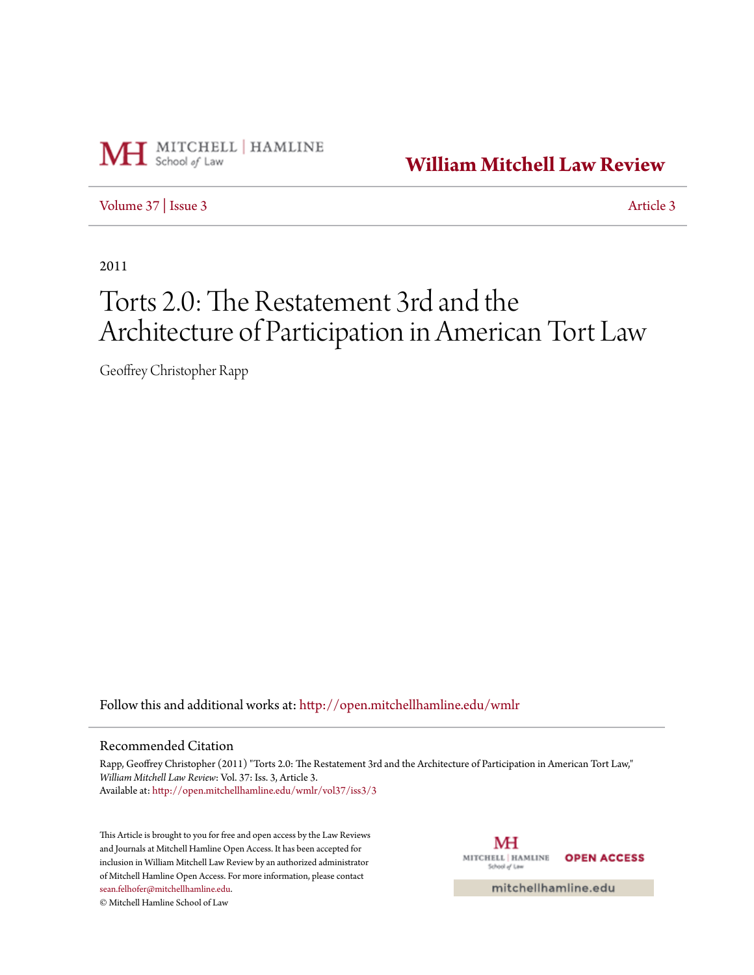

**[William Mitchell Law Review](http://open.mitchellhamline.edu/wmlr?utm_source=open.mitchellhamline.edu%2Fwmlr%2Fvol37%2Fiss3%2F3&utm_medium=PDF&utm_campaign=PDFCoverPages)**

[Volume 37](http://open.mitchellhamline.edu/wmlr/vol37?utm_source=open.mitchellhamline.edu%2Fwmlr%2Fvol37%2Fiss3%2F3&utm_medium=PDF&utm_campaign=PDFCoverPages) | [Issue 3](http://open.mitchellhamline.edu/wmlr/vol37/iss3?utm_source=open.mitchellhamline.edu%2Fwmlr%2Fvol37%2Fiss3%2F3&utm_medium=PDF&utm_campaign=PDFCoverPages) [Article 3](http://open.mitchellhamline.edu/wmlr/vol37/iss3/3?utm_source=open.mitchellhamline.edu%2Fwmlr%2Fvol37%2Fiss3%2F3&utm_medium=PDF&utm_campaign=PDFCoverPages)

2011

# Torts 2.0: The Restatement 3rd and the Architecture of Participation in American Tort Law

Geoffrey Christopher Rapp

Follow this and additional works at: [http://open.mitchellhamline.edu/wmlr](http://open.mitchellhamline.edu/wmlr?utm_source=open.mitchellhamline.edu%2Fwmlr%2Fvol37%2Fiss3%2F3&utm_medium=PDF&utm_campaign=PDFCoverPages)

# Recommended Citation

Rapp, Geoffrey Christopher (2011) "Torts 2.0: The Restatement 3rd and the Architecture of Participation in American Tort Law," *William Mitchell Law Review*: Vol. 37: Iss. 3, Article 3. Available at: [http://open.mitchellhamline.edu/wmlr/vol37/iss3/3](http://open.mitchellhamline.edu/wmlr/vol37/iss3/3?utm_source=open.mitchellhamline.edu%2Fwmlr%2Fvol37%2Fiss3%2F3&utm_medium=PDF&utm_campaign=PDFCoverPages)

This Article is brought to you for free and open access by the Law Reviews and Journals at Mitchell Hamline Open Access. It has been accepted for inclusion in William Mitchell Law Review by an authorized administrator of Mitchell Hamline Open Access. For more information, please contact [sean.felhofer@mitchellhamline.edu](mailto:sean.felhofer@mitchellhamline.edu).

© Mitchell Hamline School of Law

MH MITCHELL | HAMLINE **OPEN ACCESS** School of Law

mitchellhamline.edu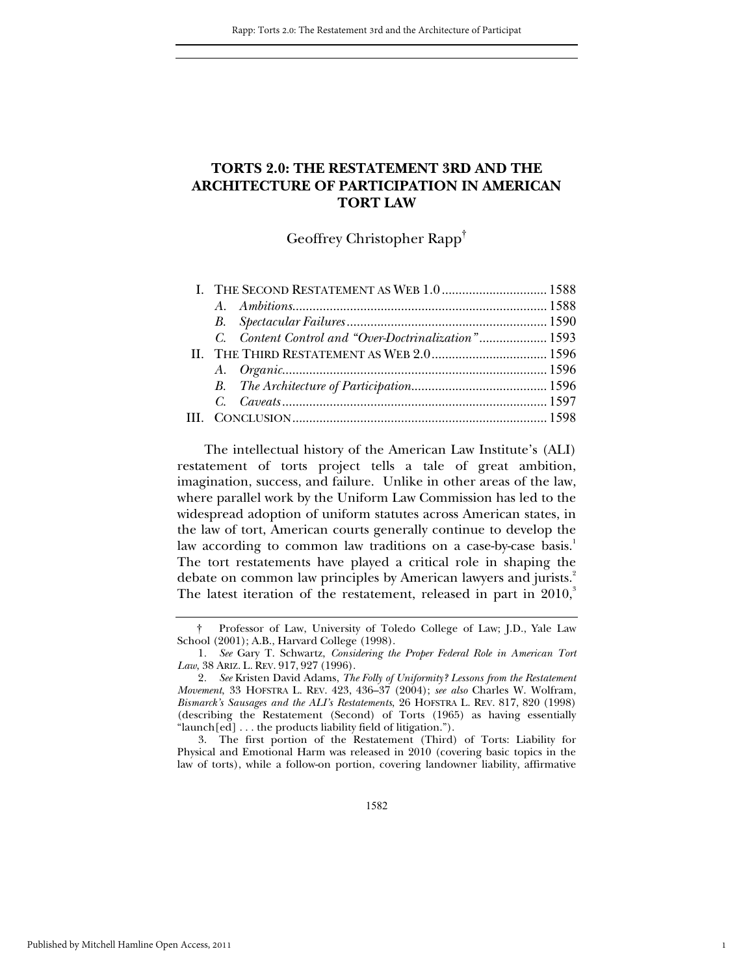# **TORTS 2.0: THE RESTATEMENT 3RD AND THE ARCHITECTURE OF PARTICIPATION IN AMERICAN TORT LAW**

Geoffrey Christopher Rapp†

| I. THE SECOND RESTATEMENT AS WEB 1.0  1588          |  |
|-----------------------------------------------------|--|
|                                                     |  |
|                                                     |  |
| C. Content Control and "Over-Doctrinalization" 1593 |  |
| II. THE THIRD RESTATEMENT AS WEB 2.0 1596           |  |
|                                                     |  |
|                                                     |  |
|                                                     |  |
|                                                     |  |
|                                                     |  |

The intellectual history of the American Law Institute's (ALI) restatement of torts project tells a tale of great ambition, imagination, success, and failure. Unlike in other areas of the law, where parallel work by the Uniform Law Commission has led to the widespread adoption of uniform statutes across American states, in the law of tort, American courts generally continue to develop the law according to common law traditions on a case-by-case basis.<sup>1</sup> The tort restatements have played a critical role in shaping the debate on common law principles by American lawyers and jurists.<sup>2</sup> The latest iteration of the restatement, released in part in  $2010<sup>3</sup>$ 

 3. The first portion of the Restatement (Third) of Torts: Liability for Physical and Emotional Harm was released in 2010 (covering basic topics in the law of torts), while a follow-on portion, covering landowner liability, affirmative

1

 <sup>†</sup> Professor of Law, University of Toledo College of Law; J.D., Yale Law School (2001); A.B., Harvard College (1998).

<sup>1</sup>*. See* Gary T. Schwartz, *Considering the Proper Federal Role in American Tort Law*, 38 ARIZ. L. REV. 917, 927 (1996).

<sup>2</sup>*. See* Kristen David Adams, *The Folly of Uniformity? Lessons from the Restatement Movement*, 33 HOFSTRA L. REV. 423, 436–37 (2004); *see also* Charles W. Wolfram, *Bismarck's Sausages and the ALI's Restatements*, 26 HOFSTRA L. REV. 817, 820 (1998) (describing the Restatement (Second) of Torts (1965) as having essentially "launch[ed] . . . the products liability field of litigation.").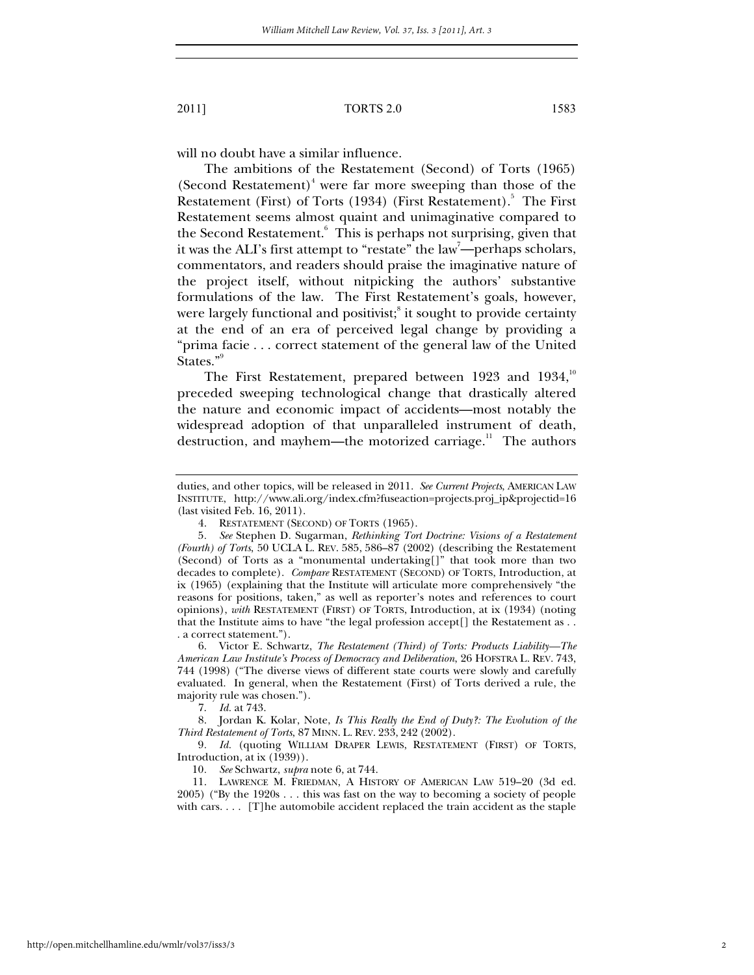will no doubt have a similar influence.

The ambitions of the Restatement (Second) of Torts (1965) (Second Restatement)<sup>4</sup> were far more sweeping than those of the Restatement (First) of Torts (1934) (First Restatement).<sup>5</sup> The First Restatement seems almost quaint and unimaginative compared to the Second Restatement.<sup>6</sup> This is perhaps not surprising, given that it was the ALI's first attempt to "restate" the law<sup>7</sup>—perhaps scholars, commentators, and readers should praise the imaginative nature of the project itself, without nitpicking the authors' substantive formulations of the law. The First Restatement's goals, however, were largely functional and positivist; $\mathrm{^s}$  it sought to provide certainty at the end of an era of perceived legal change by providing a "prima facie . . . correct statement of the general law of the United States."<sup>9</sup>

The First Restatement, prepared between 1923 and  $1934$ ,<sup>10</sup> preceded sweeping technological change that drastically altered the nature and economic impact of accidents—most notably the widespread adoption of that unparalleled instrument of death, destruction, and mayhem—the motorized carriage.<sup>11</sup> The authors

 6. Victor E. Schwartz, *The Restatement (Third) of Torts: Products Liability—The American Law Institute's Process of Democracy and Deliberation*, 26 HOFSTRA L. REV. 743, 744 (1998) ("The diverse views of different state courts were slowly and carefully evaluated. In general, when the Restatement (First) of Torts derived a rule, the majority rule was chosen.").

7. *Id.* at 743.

 8. Jordan K. Kolar, Note, *Is This Really the End of Duty?: The Evolution of the Third Restatement of Torts*, 87 MINN. L. REV. 233, 242 (2002).

9*. Id.* (quoting WILLIAM DRAPER LEWIS, RESTATEMENT (FIRST) OF TORTS, Introduction, at ix (1939)).

10*. See* Schwartz, *supra* note 6, at 744.

 11. LAWRENCE M. FRIEDMAN, A HISTORY OF AMERICAN LAW 519–20 (3d ed. 2005) ("By the 1920s . . . this was fast on the way to becoming a society of people with cars. . . . [T]he automobile accident replaced the train accident as the staple

duties, and other topics, will be released in 2011. *See Current Projects*, AMERICAN LAW INSTITUTE, http://www.ali.org/index.cfm?fuseaction=projects.proj\_ip&projectid=16 (last visited Feb. 16, 2011).

 <sup>4.</sup> RESTATEMENT (SECOND) OF TORTS (1965).

<sup>5</sup>*. See* Stephen D. Sugarman, *Rethinking Tort Doctrine: Visions of a Restatement (Fourth) of Torts*, 50 UCLA L. REV. 585, 586–87 (2002) (describing the Restatement (Second) of Torts as a "monumental undertaking[]" that took more than two decades to complete). *Compare* RESTATEMENT (SECOND) OF TORTS, Introduction, at ix (1965) (explaining that the Institute will articulate more comprehensively "the reasons for positions, taken," as well as reporter's notes and references to court opinions), *with* RESTATEMENT (FIRST) OF TORTS, Introduction, at ix (1934) (noting that the Institute aims to have "the legal profession accept[] the Restatement as . . . a correct statement.").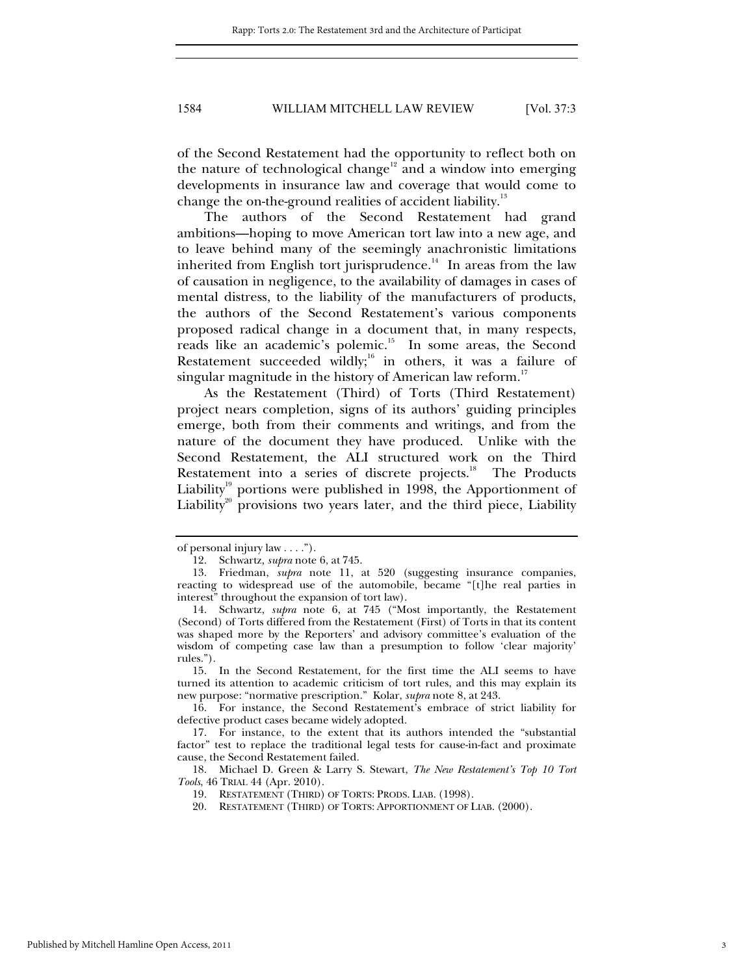of the Second Restatement had the opportunity to reflect both on the nature of technological change<sup>12</sup> and a window into emerging developments in insurance law and coverage that would come to change the on-the-ground realities of accident liability.<sup>13</sup>

The authors of the Second Restatement had grand ambitions—hoping to move American tort law into a new age, and to leave behind many of the seemingly anachronistic limitations inherited from English tort jurisprudence.<sup>14</sup> In areas from the law of causation in negligence, to the availability of damages in cases of mental distress, to the liability of the manufacturers of products, the authors of the Second Restatement's various components proposed radical change in a document that, in many respects, reads like an academic's polemic.15 In some areas, the Second Restatement succeeded wildly; $16$  in others, it was a failure of singular magnitude in the history of American law reform.<sup>17</sup>

As the Restatement (Third) of Torts (Third Restatement) project nears completion, signs of its authors' guiding principles emerge, both from their comments and writings, and from the nature of the document they have produced. Unlike with the Second Restatement, the ALI structured work on the Third Restatement into a series of discrete projects.<sup>18</sup> The Products Liability<sup>19</sup> portions were published in 1998, the Apportionment of Liability<sup>20</sup> provisions two years later, and the third piece, Liability

 15. In the Second Restatement, for the first time the ALI seems to have turned its attention to academic criticism of tort rules, and this may explain its new purpose: "normative prescription." Kolar, *supra* note 8, at 243.

 16. For instance, the Second Restatement's embrace of strict liability for defective product cases became widely adopted.

 18. Michael D. Green & Larry S. Stewart, *The New Restatement's Top 10 Tort Tools*, 46 TRIAL 44 (Apr. 2010).

of personal injury law . . . .").

 <sup>12.</sup> Schwartz, *supra* note 6, at 745.

 <sup>13.</sup> Friedman, *supra* note 11, at 520 (suggesting insurance companies, reacting to widespread use of the automobile, became "[t]he real parties in interest" throughout the expansion of tort law).

 <sup>14.</sup> Schwartz, *supra* note 6, at 745 ("Most importantly, the Restatement (Second) of Torts differed from the Restatement (First) of Torts in that its content was shaped more by the Reporters' and advisory committee's evaluation of the wisdom of competing case law than a presumption to follow 'clear majority' rules.").

 <sup>17.</sup> For instance, to the extent that its authors intended the "substantial factor" test to replace the traditional legal tests for cause-in-fact and proximate cause, the Second Restatement failed.

 <sup>19.</sup> RESTATEMENT (THIRD) OF TORTS: PRODS. LIAB. (1998).

 <sup>20.</sup> RESTATEMENT (THIRD) OF TORTS: APPORTIONMENT OF LIAB. (2000).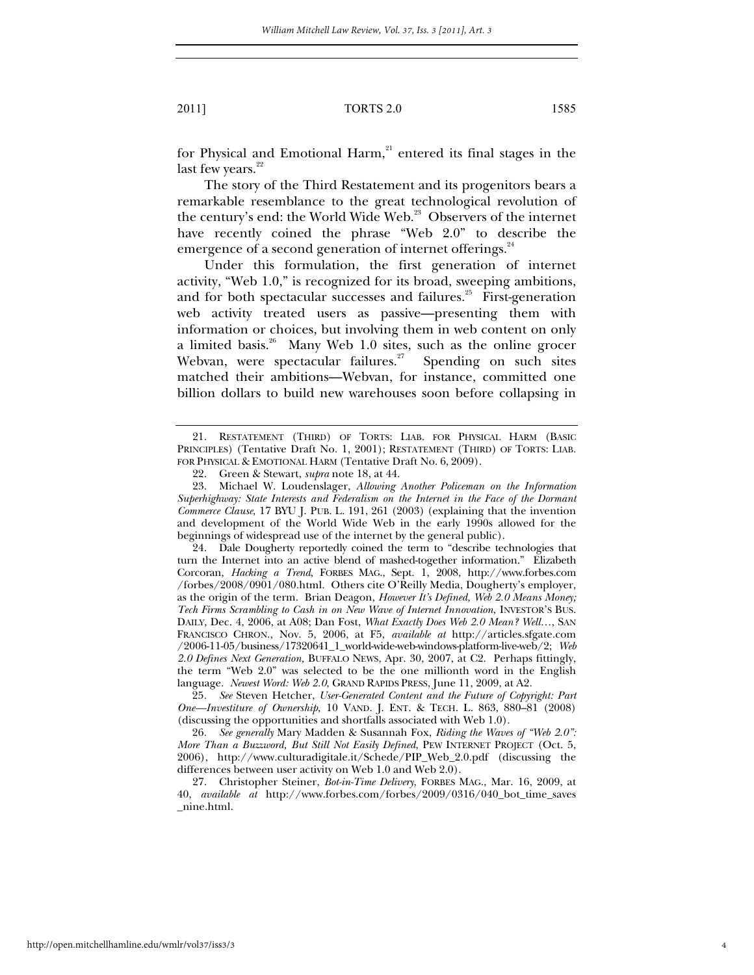for Physical and Emotional Harm,<sup>21</sup> entered its final stages in the last few years. $^{22}$ 

The story of the Third Restatement and its progenitors bears a remarkable resemblance to the great technological revolution of the century's end: the World Wide Web.<sup>23</sup> Observers of the internet have recently coined the phrase "Web 2.0" to describe the emergence of a second generation of internet offerings.<sup>24</sup>

Under this formulation, the first generation of internet activity, "Web 1.0," is recognized for its broad, sweeping ambitions, and for both spectacular successes and failures. $25$  First-generation web activity treated users as passive—presenting them with information or choices, but involving them in web content on only a limited basis.<sup>26</sup> Many Web 1.0 sites, such as the online grocer Webvan, were spectacular failures.<sup>27</sup> Spending on such sites matched their ambitions—Webvan, for instance, committed one billion dollars to build new warehouses soon before collapsing in

 24. Dale Dougherty reportedly coined the term to "describe technologies that turn the Internet into an active blend of mashed-together information." Elizabeth Corcoran, *Hacking a Trend*, FORBES MAG., Sept. 1, 2008, http://www.forbes.com /forbes/2008/0901/080.html. Others cite O'Reilly Media, Dougherty's employer, as the origin of the term. Brian Deagon, *However It's Defined, Web 2.0 Means Money; Tech Firms Scrambling to Cash in on New Wave of Internet Innovation*, INVESTOR'S BUS. DAILY, Dec. 4, 2006, at A08; Dan Fost, *What Exactly Does Web 2.0 Mean? Well…*, SAN FRANCISCO CHRON., Nov. 5, 2006, at F5, *available at* http://articles.sfgate.com /2006-11-05/business/17320641\_1\_world-wide-web-windows-platform-live-web/2; *Web 2.0 Defines Next Generation,* BUFFALO NEWS, Apr. 30, 2007, at C2. Perhaps fittingly, the term "Web 2.0" was selected to be the one millionth word in the English language. *Newest Word: Web 2.0*, GRAND RAPIDS PRESS, June 11, 2009, at A2.

25*. See* Steven Hetcher, *User-Generated Content and the Future of Copyright: Part One—Investiture of Ownership*, 10 VAND. J. ENT. & TECH. L. 863, 880–81 (2008) (discussing the opportunities and shortfalls associated with Web 1.0).

26*. See generally* Mary Madden & Susannah Fox, *Riding the Waves of "Web 2.0": More Than a Buzzword, But Still Not Easily Defined*, PEW INTERNET PROJECT (Oct. 5, 2006), http://www.culturadigitale.it/Schede/PIP\_Web\_2.0.pdf (discussing the differences between user activity on Web 1.0 and Web 2.0).

 27. Christopher Steiner, *Bot-in-Time Delivery*, FORBES MAG., Mar. 16, 2009, at 40, *available at* http://www.forbes.com/forbes/2009/0316/040\_bot\_time\_saves \_nine.html.

 <sup>21.</sup> RESTATEMENT (THIRD) OF TORTS: LIAB. FOR PHYSICAL HARM (BASIC PRINCIPLES) (Tentative Draft No. 1, 2001); RESTATEMENT (THIRD) OF TORTS: LIAB. FOR PHYSICAL & EMOTIONAL HARM (Tentative Draft No. 6, 2009).

 <sup>22.</sup> Green & Stewart, *supra* note 18, at 44.

 <sup>23.</sup> Michael W. Loudenslager, *Allowing Another Policeman on the Information Superhighway: State Interests and Federalism on the Internet in the Face of the Dormant Commerce Clause*, 17 BYU J. PUB. L. 191, 261 (2003) (explaining that the invention and development of the World Wide Web in the early 1990s allowed for the beginnings of widespread use of the internet by the general public).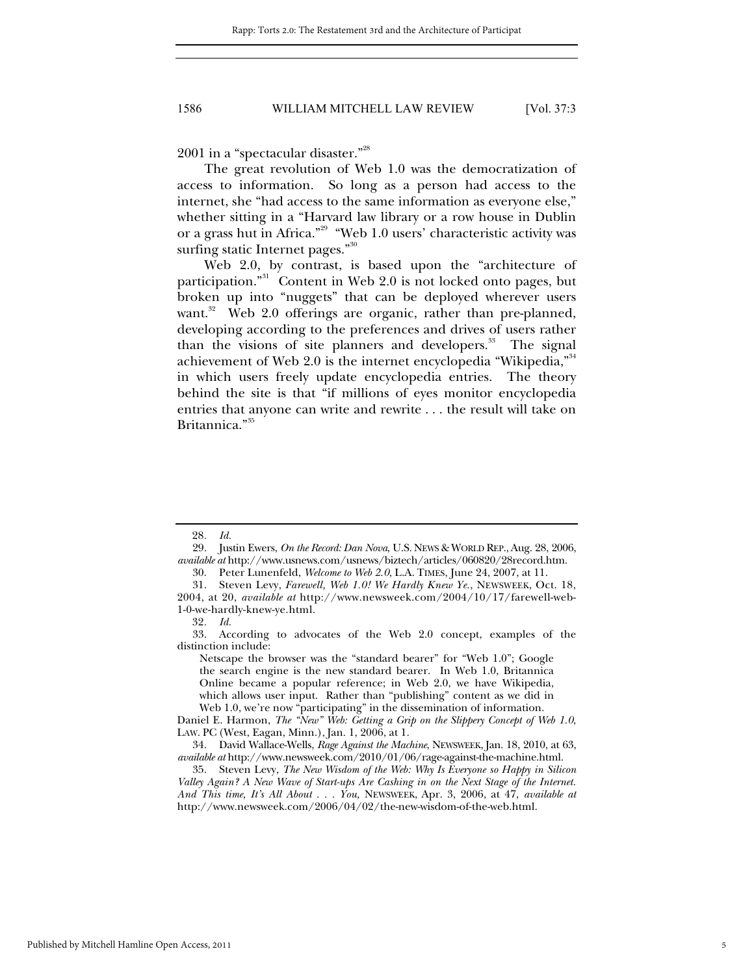2001 in a "spectacular disaster."28

The great revolution of Web 1.0 was the democratization of access to information. So long as a person had access to the internet, she "had access to the same information as everyone else," whether sitting in a "Harvard law library or a row house in Dublin or a grass hut in Africa."29 "Web 1.0 users' characteristic activity was surfing static Internet pages."<sup>30</sup>

Web 2.0, by contrast, is based upon the "architecture of participation."<sup>31</sup> Content in Web 2.0 is not locked onto pages, but broken up into "nuggets" that can be deployed wherever users want.<sup>32</sup> Web 2.0 offerings are organic, rather than pre-planned, developing according to the preferences and drives of users rather than the visions of site planners and developers.<sup>33</sup> The signal achievement of Web 2.0 is the internet encyclopedia "Wikipedia,"<sup>34</sup> in which users freely update encyclopedia entries. The theory behind the site is that "if millions of eyes monitor encyclopedia entries that anyone can write and rewrite . . . the result will take on Britannica."<sup>35</sup>

Netscape the browser was the "standard bearer" for "Web 1.0"; Google the search engine is the new standard bearer. In Web 1.0, Britannica Online became a popular reference; in Web 2.0, we have Wikipedia, which allows user input. Rather than "publishing" content as we did in Web 1.0, we're now "participating" in the dissemination of information.

Daniel E. Harmon, *The "New" Web: Getting a Grip on the Slippery Concept of Web 1.0*, LAW. PC (West, Eagan, Minn.), Jan. 1, 2006, at 1.

<sup>28</sup>*. Id.*

 <sup>29.</sup> Justin Ewers, *On the Record: Dan Nova*, U.S. NEWS & WORLD REP., Aug. 28, 2006, *available at* http://www.usnews.com/usnews/biztech/articles/060820/28record.htm.

 <sup>30.</sup> Peter Lunenfeld, *Welcome to Web 2.0*, L.A. TIMES, June 24, 2007, at 11.

 <sup>31.</sup> Steven Levy, *Farewell, Web 1.0! We Hardly Knew Ye.*, NEWSWEEK, Oct. 18, 2004, at 20, *available at* http://www.newsweek.com/2004/10/17/farewell-web-1-0-we-hardly-knew-ye.html.

<sup>32</sup>*. Id.*

 <sup>33.</sup> According to advocates of the Web 2.0 concept, examples of the distinction include:

 <sup>34.</sup> David Wallace-Wells, *Rage Against the Machine*, NEWSWEEK, Jan. 18, 2010, at 63, *available at* http://www.newsweek.com/2010/01/06/rage-against-the-machine.html.

 <sup>35.</sup> Steven Levy, *The New Wisdom of the Web: Why Is Everyone so Happy in Silicon Valley Again? A New Wave of Start-ups Are Cashing in on the Next Stage of the Internet. And This time, It's All About . . . You,* NEWSWEEK, Apr. 3, 2006, at 47, *available at*  http://www.newsweek.com/2006/04/02/the-new-wisdom-of-the-web.html.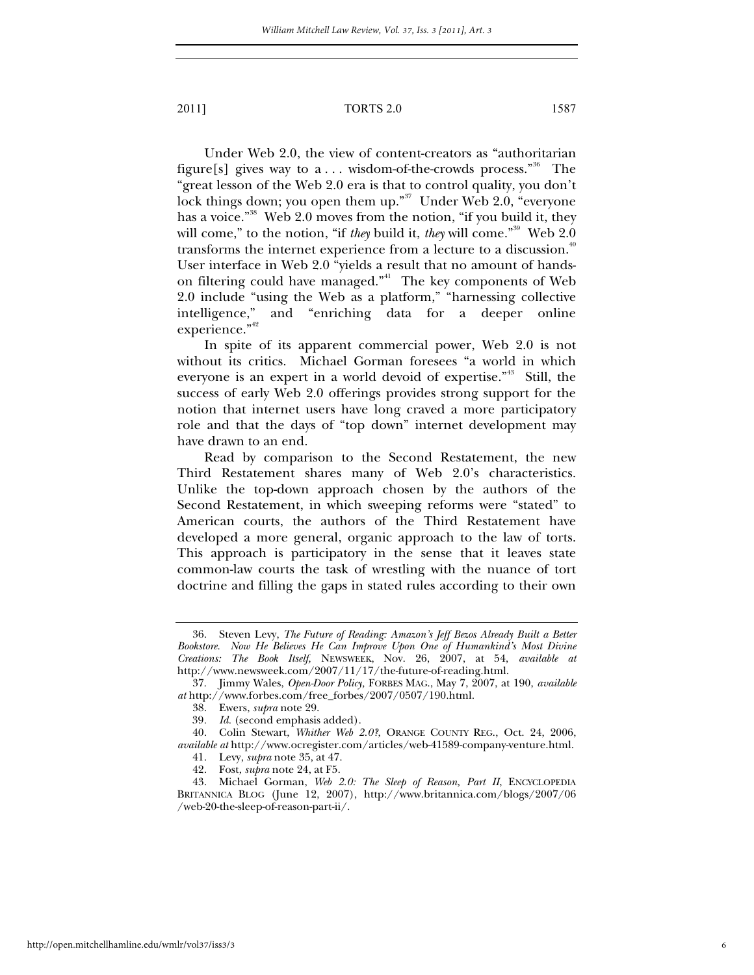Under Web 2.0, the view of content-creators as "authoritarian figure[s] gives way to  $a \dots$  wisdom-of-the-crowds process.<sup>"36</sup> The "great lesson of the Web 2.0 era is that to control quality, you don't lock things down; you open them up."<sup>37</sup> Under Web 2.0, "everyone" has a voice."<sup>38</sup> Web 2.0 moves from the notion, "if you build it, they will come," to the notion, "if *they* build it, *they* will come."<sup>39</sup> Web 2.0 transforms the internet experience from a lecture to a discussion.<sup>40</sup> User interface in Web 2.0 "yields a result that no amount of handson filtering could have managed."<sup>41</sup> The key components of Web 2.0 include "using the Web as a platform," "harnessing collective intelligence," and "enriching data for a deeper online experience."<sup>42</sup>

In spite of its apparent commercial power, Web 2.0 is not without its critics. Michael Gorman foresees "a world in which everyone is an expert in a world devoid of expertise."<sup>43</sup> Still, the success of early Web 2.0 offerings provides strong support for the notion that internet users have long craved a more participatory role and that the days of "top down" internet development may have drawn to an end.

Read by comparison to the Second Restatement, the new Third Restatement shares many of Web 2.0's characteristics. Unlike the top-down approach chosen by the authors of the Second Restatement, in which sweeping reforms were "stated" to American courts, the authors of the Third Restatement have developed a more general, organic approach to the law of torts. This approach is participatory in the sense that it leaves state common-law courts the task of wrestling with the nuance of tort doctrine and filling the gaps in stated rules according to their own

 <sup>36.</sup> Steven Levy, *The Future of Reading: Amazon's Jeff Bezos Already Built a Better Bookstore. Now He Believes He Can Improve Upon One of Humankind's Most Divine Creations: The Book Itself,* NEWSWEEK, Nov. 26, 2007, at 54, *available at* http://www.newsweek.com/2007/11/17/the-future-of-reading.html.

 <sup>37.</sup> Jimmy Wales, *Open-Door Policy,* FORBES MAG., May 7, 2007, at 190, *available at* http://www.forbes.com/free\_forbes/2007/0507/190.html.

 <sup>38.</sup> Ewers, *supra* note 29.

<sup>39</sup>*. Id.* (second emphasis added).

 <sup>40.</sup> Colin Stewart, *Whither Web 2.0?*, ORANGE COUNTY REG., Oct. 24, 2006, *available at* http://www.ocregister.com/articles/web-41589-company-venture.html.

 <sup>41.</sup> Levy, *supra* note 35, at 47.

 <sup>42.</sup> Fost, *supra* note 24, at F5.

 <sup>43.</sup> Michael Gorman, *Web 2.0: The Sleep of Reason, Part II*, ENCYCLOPEDIA BRITANNICA BLOG (June 12, 2007), http://www.britannica.com/blogs/2007/06 /web-20-the-sleep-of-reason-part-ii/.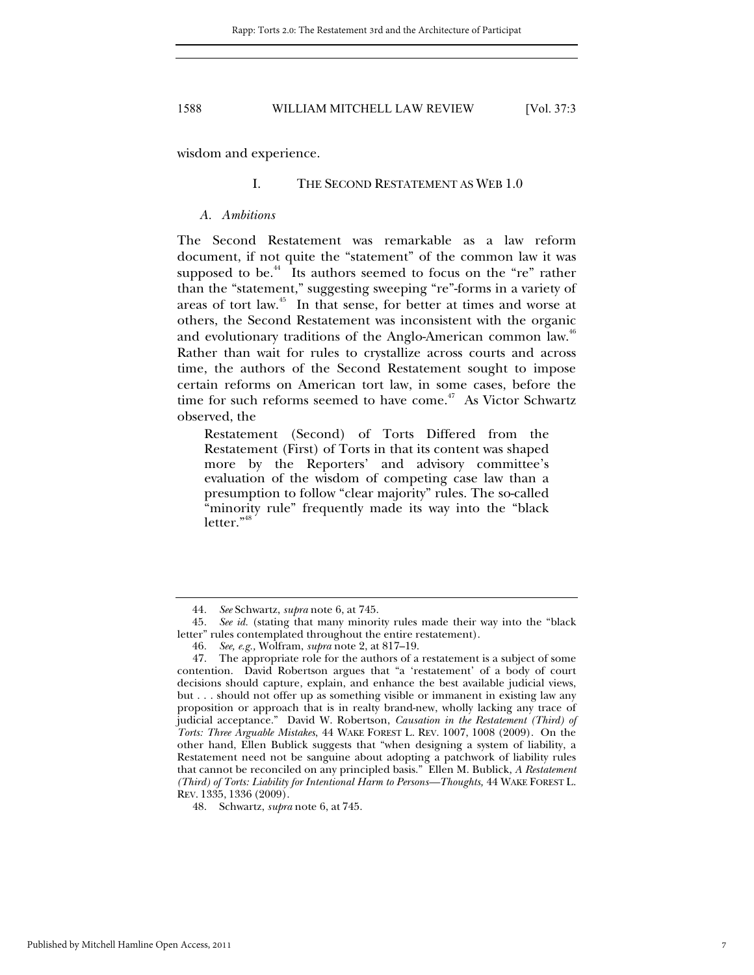wisdom and experience.

### I. THE SECOND RESTATEMENT AS WEB 1.0

#### *A. Ambitions*

The Second Restatement was remarkable as a law reform document, if not quite the "statement" of the common law it was supposed to be.<sup>44</sup> Its authors seemed to focus on the "re" rather than the "statement," suggesting sweeping "re"-forms in a variety of areas of tort law.45 In that sense, for better at times and worse at others, the Second Restatement was inconsistent with the organic and evolutionary traditions of the Anglo-American common law. $^{46}$ Rather than wait for rules to crystallize across courts and across time, the authors of the Second Restatement sought to impose certain reforms on American tort law, in some cases, before the time for such reforms seemed to have come.<sup>47</sup> As Victor Schwartz observed, the

Restatement (Second) of Torts Differed from the Restatement (First) of Torts in that its content was shaped more by the Reporters' and advisory committee's evaluation of the wisdom of competing case law than a presumption to follow "clear majority" rules. The so-called "minority rule" frequently made its way into the "black letter."<sup>48</sup>

<sup>44</sup>*. See* Schwartz, *supra* note 6, at 745.

<sup>45.</sup> See id. (stating that many minority rules made their way into the "black letter" rules contemplated throughout the entire restatement).

<sup>46</sup>*. See, e.g.,* Wolfram, *supra* note 2, at 817–19.

 <sup>47.</sup> The appropriate role for the authors of a restatement is a subject of some contention. David Robertson argues that "a 'restatement' of a body of court decisions should capture, explain, and enhance the best available judicial views, but . . . should not offer up as something visible or immanent in existing law any proposition or approach that is in realty brand-new, wholly lacking any trace of judicial acceptance." David W. Robertson, *Causation in the Restatement (Third) of Torts: Three Arguable Mistakes*, 44 WAKE FOREST L. REV. 1007, 1008 (2009). On the other hand, Ellen Bublick suggests that "when designing a system of liability, a Restatement need not be sanguine about adopting a patchwork of liability rules that cannot be reconciled on any principled basis." Ellen M. Bublick, *A Restatement (Third) of Torts: Liability for Intentional Harm to Persons—Thoughts,* 44 WAKE FOREST L. REV. 1335, 1336 (2009).

 <sup>48.</sup> Schwartz, *supra* note 6, at 745.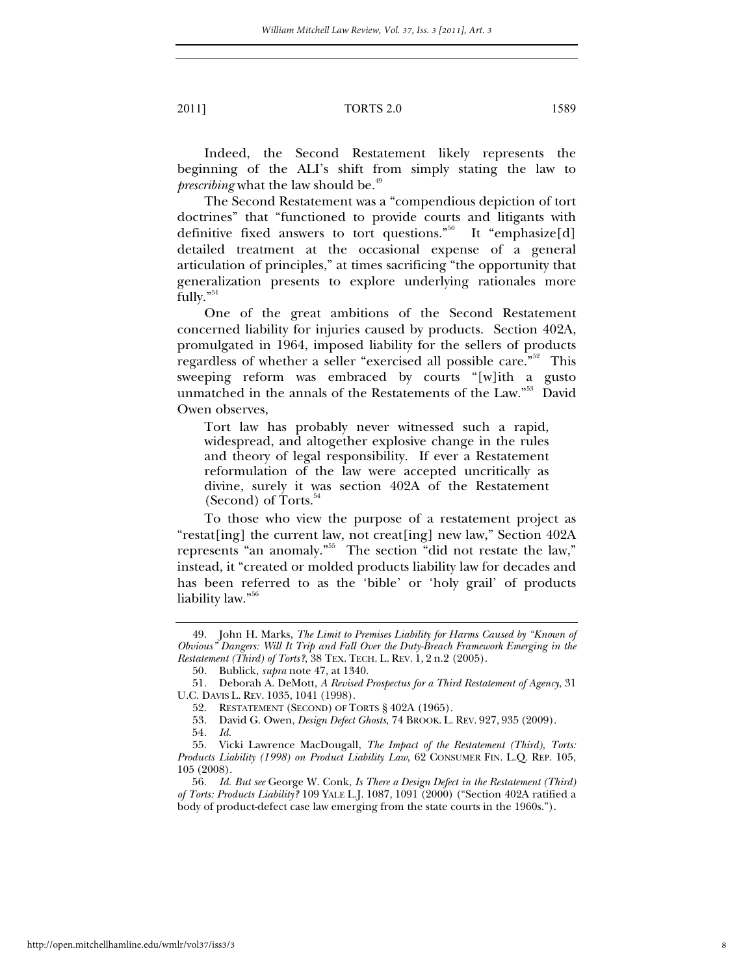Indeed, the Second Restatement likely represents the beginning of the ALI's shift from simply stating the law to *prescribing* what the law should be.<sup>49</sup>

The Second Restatement was a "compendious depiction of tort doctrines" that "functioned to provide courts and litigants with definitive fixed answers to tort questions."<sup>50</sup> It "emphasize[d] detailed treatment at the occasional expense of a general articulation of principles," at times sacrificing "the opportunity that generalization presents to explore underlying rationales more fully."<sup>51</sup>

One of the great ambitions of the Second Restatement concerned liability for injuries caused by products. Section 402A, promulgated in 1964, imposed liability for the sellers of products regardless of whether a seller "exercised all possible care."<sup>52</sup> This sweeping reform was embraced by courts "[w]ith a gusto unmatched in the annals of the Restatements of the Law."<sup>53</sup> David Owen observes,

Tort law has probably never witnessed such a rapid, widespread, and altogether explosive change in the rules and theory of legal responsibility. If ever a Restatement reformulation of the law were accepted uncritically as divine, surely it was section 402A of the Restatement (Second) of Torts.<sup>54</sup>

To those who view the purpose of a restatement project as "restat[ing] the current law, not creat[ing] new law," Section 402A represents "an anomaly."<sup>55</sup> The section "did not restate the law," instead, it "created or molded products liability law for decades and has been referred to as the 'bible' or 'holy grail' of products liability law."56

 <sup>49.</sup> John H. Marks, *The Limit to Premises Liability for Harms Caused by "Known of Obvious" Dangers: Will It Trip and Fall Over the Duty-Breach Framework Emerging in the Restatement (Third) of Torts?*, 38 TEX. TECH. L. REV. 1, 2 n.2 (2005).

 <sup>50.</sup> Bublick, *supra* note 47, at 1340.

 <sup>51.</sup> Deborah A. DeMott, *A Revised Prospectus for a Third Restatement of Agency*, 31 U.C. DAVIS L. REV. 1035, 1041 (1998).

 <sup>52.</sup> RESTATEMENT (SECOND) OF TORTS § 402A (1965).

 <sup>53.</sup> David G. Owen, *Design Defect Ghosts*, 74 BROOK. L. REV. 927, 935 (2009).

<sup>54</sup>*. Id.*

 <sup>55.</sup> Vicki Lawrence MacDougall, *The Impact of the Restatement (Third), Torts: Products Liability (1998) on Product Liability Law*, 62 CONSUMER FIN. L.Q. REP. 105, 105 (2008).

<sup>56</sup>*. Id. But see* George W. Conk, *Is There a Design Defect in the Restatement (Third) of Torts: Products Liability?* 109 YALE L.J. 1087, 1091 (2000) ("Section 402A ratified a body of product-defect case law emerging from the state courts in the 1960s.").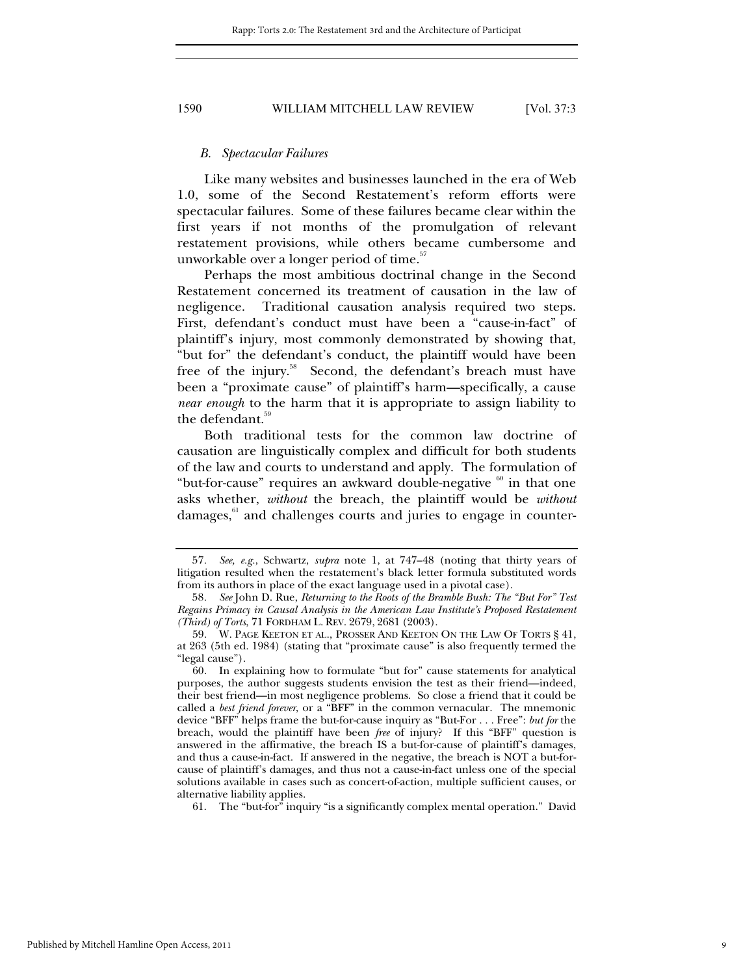### *B. Spectacular Failures*

Like many websites and businesses launched in the era of Web 1.0, some of the Second Restatement's reform efforts were spectacular failures. Some of these failures became clear within the first years if not months of the promulgation of relevant restatement provisions, while others became cumbersome and unworkable over a longer period of time.<sup>57</sup>

Perhaps the most ambitious doctrinal change in the Second Restatement concerned its treatment of causation in the law of negligence. Traditional causation analysis required two steps. First, defendant's conduct must have been a "cause-in-fact" of plaintiff's injury, most commonly demonstrated by showing that, "but for" the defendant's conduct, the plaintiff would have been free of the injury.<sup>58</sup> Second, the defendant's breach must have been a "proximate cause" of plaintiff's harm—specifically, a cause *near enough* to the harm that it is appropriate to assign liability to the defendant.<sup>59</sup>

Both traditional tests for the common law doctrine of causation are linguistically complex and difficult for both students of the law and courts to understand and apply. The formulation of "but-for-cause" requires an awkward double-negative  $\frac{60}{10}$  in that one asks whether, *without* the breach, the plaintiff would be *without* damages,<sup>61</sup> and challenges courts and juries to engage in counter-

61. The "but-for" inquiry "is a significantly complex mental operation." David

<sup>57</sup>*. See, e.g.*, Schwartz, *supra* note 1, at 747–48 (noting that thirty years of litigation resulted when the restatement's black letter formula substituted words from its authors in place of the exact language used in a pivotal case).

<sup>58</sup>*. See* John D. Rue, *Returning to the Roots of the Bramble Bush: The "But For" Test Regains Primacy in Causal Analysis in the American Law Institute's Proposed Restatement (Third) of Torts*, 71 FORDHAM L. REV. 2679, 2681 (2003).

 <sup>59.</sup> W. PAGE KEETON ET AL., PROSSER AND KEETON ON THE LAW OF TORTS § 41, at 263 (5th ed. 1984) (stating that "proximate cause" is also frequently termed the "legal cause").

 <sup>60.</sup> In explaining how to formulate "but for" cause statements for analytical purposes, the author suggests students envision the test as their friend—indeed, their best friend—in most negligence problems. So close a friend that it could be called a *best friend forever*, or a "BFF" in the common vernacular. The mnemonic device "BFF" helps frame the but-for-cause inquiry as "But-For . . . Free": *but for* the breach, would the plaintiff have been *free* of injury? If this "BFF" question is answered in the affirmative, the breach IS a but-for-cause of plaintiff's damages, and thus a cause-in-fact. If answered in the negative, the breach is NOT a but-forcause of plaintiff's damages, and thus not a cause-in-fact unless one of the special solutions available in cases such as concert-of-action, multiple sufficient causes, or alternative liability applies.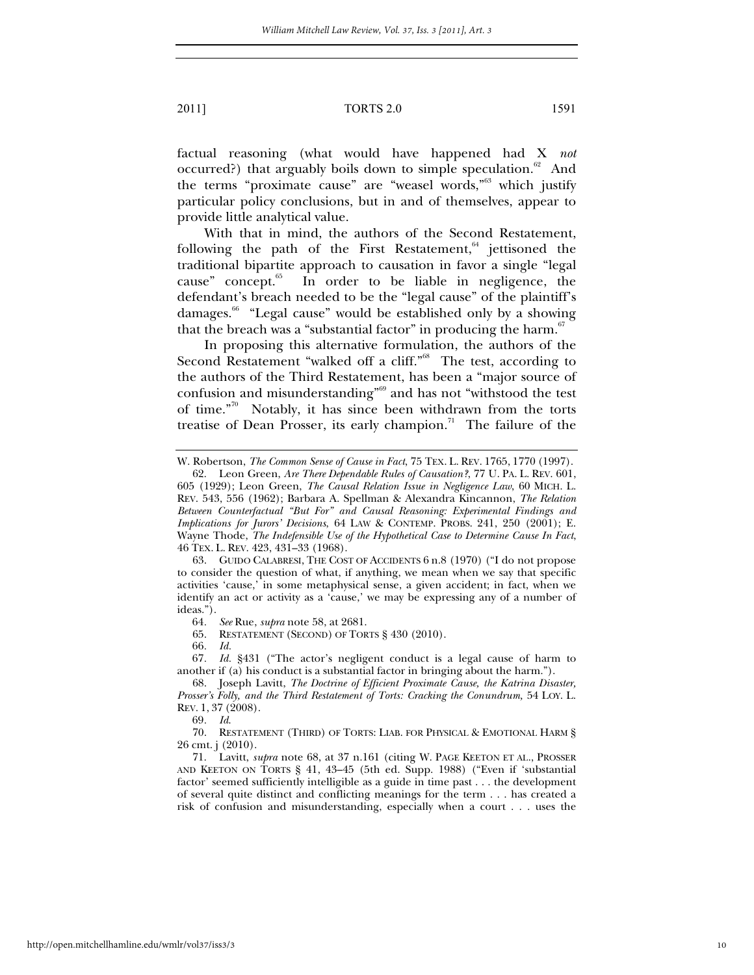factual reasoning (what would have happened had X *not*  occurred?) that arguably boils down to simple speculation.<sup>62</sup> And the terms "proximate cause" are "weasel words,"63 which justify particular policy conclusions, but in and of themselves, appear to provide little analytical value.

With that in mind, the authors of the Second Restatement, following the path of the First Restatement, $64$  jettisoned the traditional bipartite approach to causation in favor a single "legal cause" concept.<sup>65</sup> In order to be liable in negligence, the defendant's breach needed to be the "legal cause" of the plaintiff's damages.<sup>66</sup> "Legal cause" would be established only by a showing that the breach was a "substantial factor" in producing the harm. $67$ 

In proposing this alternative formulation, the authors of the Second Restatement "walked off a cliff."<sup>68</sup> The test, according to the authors of the Third Restatement, has been a "major source of confusion and misunderstanding"69 and has not "withstood the test of time."70 Notably, it has since been withdrawn from the torts treatise of Dean Prosser, its early champion.<sup>71</sup> The failure of the

65. RESTATEMENT (SECOND) OF TORTS § 430 (2010).

66*. Id.*

67*. Id.* §431 ("The actor's negligent conduct is a legal cause of harm to another if (a) his conduct is a substantial factor in bringing about the harm.").

69*. Id*.

 70. RESTATEMENT (THIRD) OF TORTS: LIAB. FOR PHYSICAL & EMOTIONAL HARM § 26 cmt. j (2010).

 71. Lavitt, *supra* note 68, at 37 n.161 (citing W. PAGE KEETON ET AL., PROSSER AND KEETON ON TORTS § 41, 43–45 (5th ed. Supp. 1988) ("Even if 'substantial factor' seemed sufficiently intelligible as a guide in time past . . . the development of several quite distinct and conflicting meanings for the term . . . has created a risk of confusion and misunderstanding, especially when a court . . . uses the

W. Robertson, *The Common Sense of Cause in Fact*, 75 TEX. L. REV. 1765, 1770 (1997).

 <sup>62.</sup> Leon Green, *Are There Dependable Rules of Causation?*, 77 U. PA. L. REV. 601, 605 (1929); Leon Green, *The Causal Relation Issue in Negligence Law*, 60 MICH. L. REV. 543, 556 (1962); Barbara A. Spellman & Alexandra Kincannon, *The Relation Between Counterfactual "But For" and Causal Reasoning: Experimental Findings and Implications for Jurors' Decisions*, 64 LAW & CONTEMP. PROBS. 241, 250 (2001); E. Wayne Thode, *The Indefensible Use of the Hypothetical Case to Determine Cause In Fact*, 46 TEX. L. REV. 423, 431–33 (1968).

 <sup>63.</sup> GUIDO CALABRESI, THE COST OF ACCIDENTS 6 n.8 (1970) ("I do not propose to consider the question of what, if anything, we mean when we say that specific activities 'cause,' in some metaphysical sense, a given accident; in fact, when we identify an act or activity as a 'cause,' we may be expressing any of a number of ideas.").

<sup>64</sup>*. See* Rue, *supra* note 58, at 2681.

 <sup>68.</sup> Joseph Lavitt, *The Doctrine of Efficient Proximate Cause, the Katrina Disaster, Prosser's Folly, and the Third Restatement of Torts: Cracking the Conundrum,* 54 LOY. L. REV. 1, 37 (2008).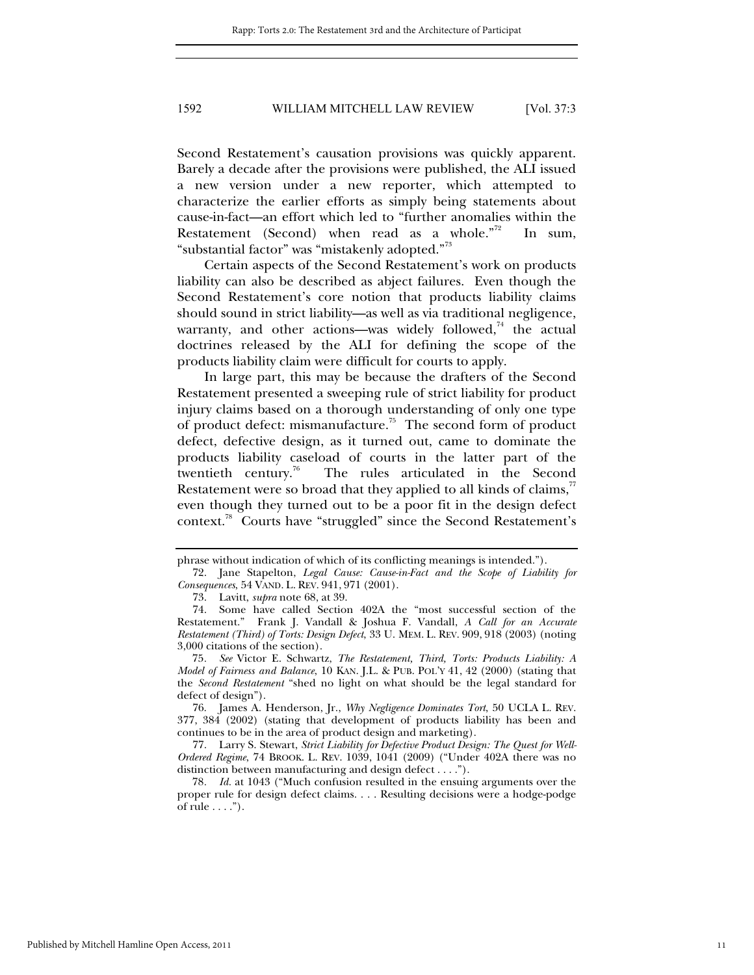Second Restatement's causation provisions was quickly apparent. Barely a decade after the provisions were published, the ALI issued a new version under a new reporter, which attempted to characterize the earlier efforts as simply being statements about cause-in-fact—an effort which led to "further anomalies within the Restatement (Second) when read as a whole."<sup>72</sup> In sum, "substantial factor" was "mistakenly adopted."<sup>73</sup>

Certain aspects of the Second Restatement's work on products liability can also be described as abject failures. Even though the Second Restatement's core notion that products liability claims should sound in strict liability—as well as via traditional negligence, warranty, and other actions—was widely followed, $74$  the actual doctrines released by the ALI for defining the scope of the products liability claim were difficult for courts to apply.

In large part, this may be because the drafters of the Second Restatement presented a sweeping rule of strict liability for product injury claims based on a thorough understanding of only one type of product defect: mismanufacture.<sup>75</sup> The second form of product defect, defective design, as it turned out, came to dominate the products liability caseload of courts in the latter part of the twentieth century.<sup>76</sup> The rules articulated in the Second Restatement were so broad that they applied to all kinds of claims, $\alpha$ even though they turned out to be a poor fit in the design defect context.78 Courts have "struggled" since the Second Restatement's

phrase without indication of which of its conflicting meanings is intended.").

 <sup>72.</sup> Jane Stapelton, *Legal Cause: Cause-in-Fact and the Scope of Liability for Consequences*, 54 VAND. L. REV. 941, 971 (2001).

 <sup>73.</sup> Lavitt, *supra* note 68, at 39.

 <sup>74.</sup> Some have called Section 402A the "most successful section of the Restatement." Frank J. Vandall & Joshua F. Vandall, *A Call for an Accurate Restatement (Third) of Torts: Design Defect*, 33 U. MEM. L. REV. 909, 918 (2003) (noting 3,000 citations of the section).

<sup>75</sup>*. See* Victor E. Schwartz, *The Restatement, Third, Torts: Products Liability: A Model of Fairness and Balance*, 10 KAN. J.L. & PUB. POL'Y 41, 42 (2000) (stating that the *Second Restatement* "shed no light on what should be the legal standard for defect of design").

 <sup>76.</sup> James A. Henderson, Jr., *Why Negligence Dominates Tort*, 50 UCLA L. REV. 377, 384 (2002) (stating that development of products liability has been and continues to be in the area of product design and marketing).

 <sup>77.</sup> Larry S. Stewart, *Strict Liability for Defective Product Design: The Quest for Well-Ordered Regime*, 74 BROOK. L. REV. 1039, 1041 (2009) ("Under 402A there was no distinction between manufacturing and design defect . . . .").

<sup>78</sup>*. Id.* at 1043 ("Much confusion resulted in the ensuing arguments over the proper rule for design defect claims. . . . Resulting decisions were a hodge-podge of rule  $\dots$ ").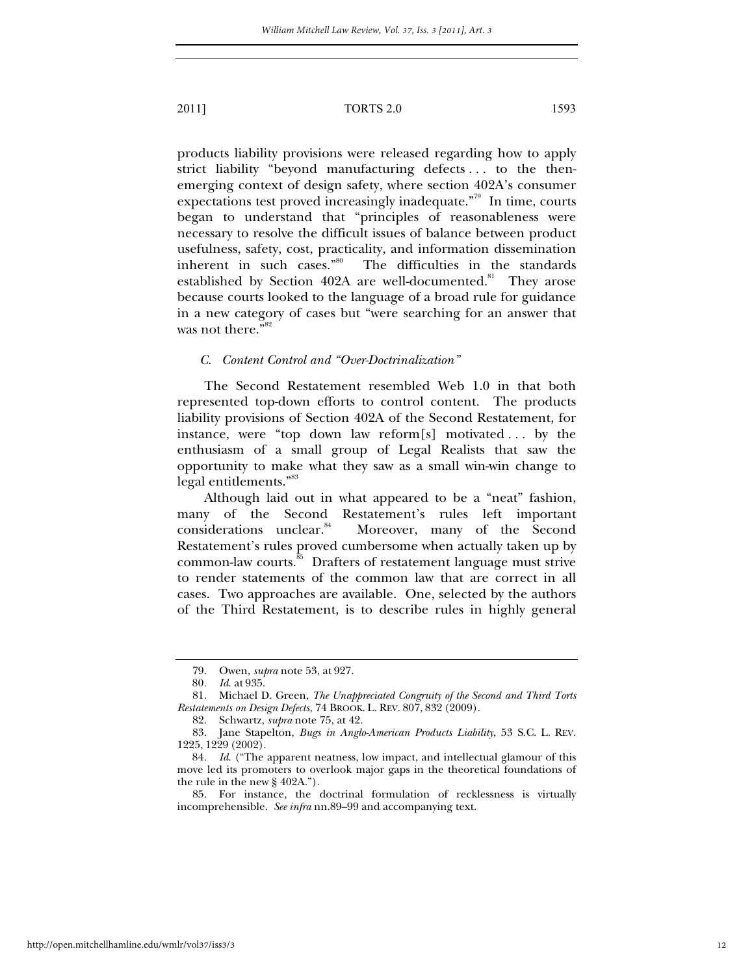products liability provisions were released regarding how to apply strict liability "beyond manufacturing defects . . . to the thenemerging context of design safety, where section 402A's consumer expectations test proved increasingly inadequate."<sup>79</sup> In time, courts began to understand that "principles of reasonableness were necessary to resolve the difficult issues of balance between product usefulness, safety, cost, practicality, and information dissemination inherent in such cases."80 The difficulties in the standards established by Section 402A are well-documented.<sup>81</sup> They arose because courts looked to the language of a broad rule for guidance in a new category of cases but "were searching for an answer that was not there."<sup>82</sup>

# *C. Content Control and "Over-Doctrinalization"*

The Second Restatement resembled Web 1.0 in that both represented top-down efforts to control content. The products liability provisions of Section 402A of the Second Restatement, for instance, were "top down law reform[s] motivated . . . by the enthusiasm of a small group of Legal Realists that saw the opportunity to make what they saw as a small win-win change to legal entitlements."<sup>83</sup>

Although laid out in what appeared to be a "neat" fashion, many of the Second Restatement's rules left important considerations unclear.<sup>84</sup> Moreover, many of the Second Restatement's rules proved cumbersome when actually taken up by common-law courts.<sup>85</sup> Drafters of restatement language must strive to render statements of the common law that are correct in all cases. Two approaches are available. One, selected by the authors of the Third Restatement, is to describe rules in highly general

 <sup>79.</sup> Owen, *supra* note 53, at 927.

<sup>80</sup>*. Id*. at 935.

 <sup>81.</sup> Michael D. Green, *The Unappreciated Congruity of the Second and Third Torts Restatements on Design Defects*, 74 BROOK. L. REV. 807, 832 (2009).

 <sup>82.</sup> Schwartz, *supra* note 75, at 42.

 <sup>83.</sup> Jane Stapelton, *Bugs in Anglo-American Products Liability*, 53 S.C. L. REV. 1225, 1229 (2002).

<sup>84</sup>*. Id*. ("The apparent neatness, low impact, and intellectual glamour of this move led its promoters to overlook major gaps in the theoretical foundations of the rule in the new § 402A.").

 <sup>85.</sup> For instance, the doctrinal formulation of recklessness is virtually incomprehensible. *See infra* nn.89–99 and accompanying text.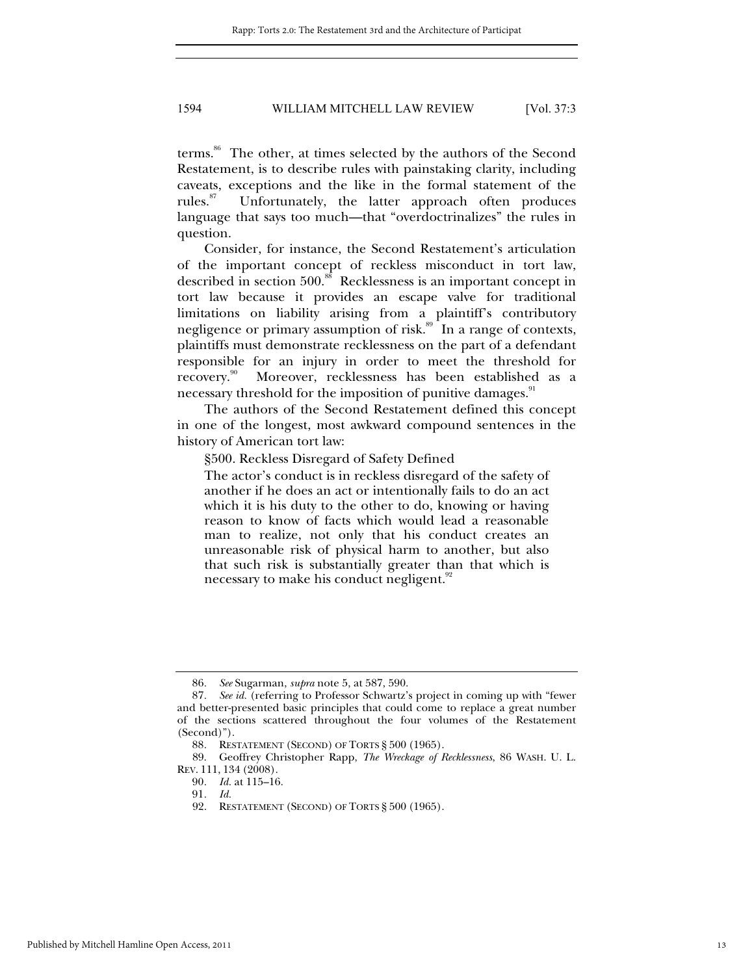terms.<sup>86</sup> The other, at times selected by the authors of the Second Restatement, is to describe rules with painstaking clarity, including caveats, exceptions and the like in the formal statement of the rules.<sup>87</sup> Unfortunately, the latter approach often produces language that says too much—that "overdoctrinalizes" the rules in question.

Consider, for instance, the Second Restatement's articulation of the important concept of reckless misconduct in tort law, described in section 500.88 Recklessness is an important concept in tort law because it provides an escape valve for traditional limitations on liability arising from a plaintiff's contributory negligence or primary assumption of risk.<sup>89</sup> In a range of contexts, plaintiffs must demonstrate recklessness on the part of a defendant responsible for an injury in order to meet the threshold for recovery.<sup>90</sup> Moreover, recklessness has been established as a necessary threshold for the imposition of punitive damages.

The authors of the Second Restatement defined this concept in one of the longest, most awkward compound sentences in the history of American tort law:

§500. Reckless Disregard of Safety Defined

The actor's conduct is in reckless disregard of the safety of another if he does an act or intentionally fails to do an act which it is his duty to the other to do, knowing or having reason to know of facts which would lead a reasonable man to realize, not only that his conduct creates an unreasonable risk of physical harm to another, but also that such risk is substantially greater than that which is necessary to make his conduct negligent.<sup>92</sup>

<sup>86</sup>*. See* Sugarman, *supra* note 5, at 587, 590.

See id. (referring to Professor Schwartz's project in coming up with "fewer and better-presented basic principles that could come to replace a great number of the sections scattered throughout the four volumes of the Restatement (Second)").

<sup>88</sup>*.* RESTATEMENT (SECOND) OF TORTS § 500 (1965).

 <sup>89.</sup> Geoffrey Christopher Rapp, *The Wreckage of Recklessness*, 86 WASH. U. L. REV. 111, 134 (2008).

<sup>90</sup>*. Id.* at 115–16.

<sup>91</sup>*. Id.*

 <sup>92.</sup> RESTATEMENT (SECOND) OF TORTS § 500 (1965).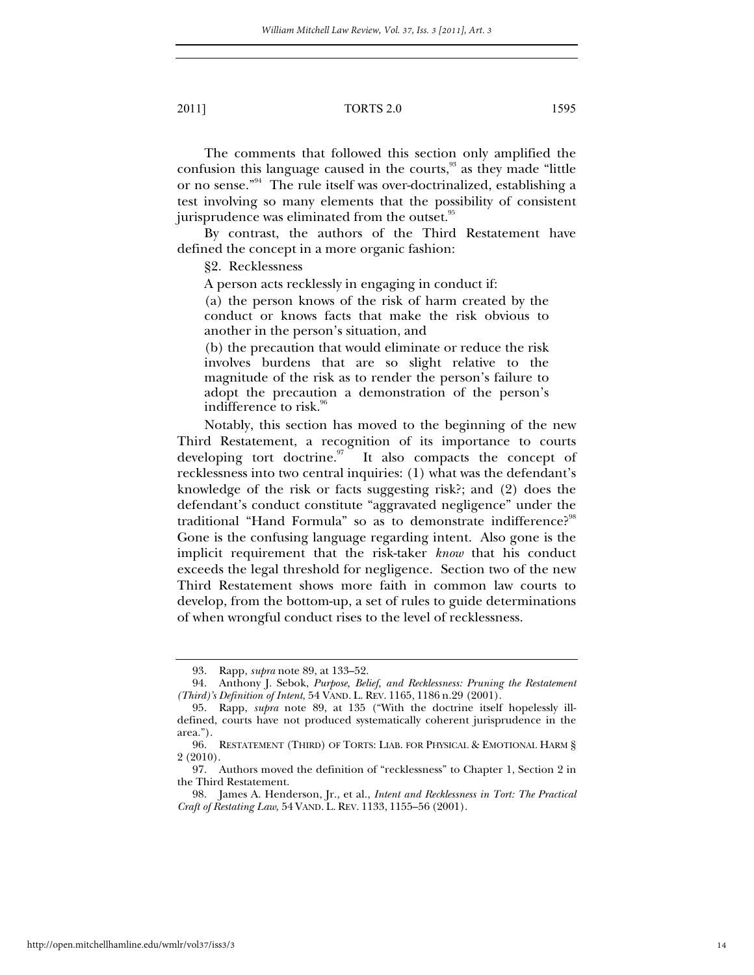The comments that followed this section only amplified the confusion this language caused in the courts, $93$  as they made "little" or no sense."94 The rule itself was over-doctrinalized, establishing a test involving so many elements that the possibility of consistent jurisprudence was eliminated from the outset.<sup>95</sup>

By contrast, the authors of the Third Restatement have defined the concept in a more organic fashion:

§2. Recklessness

A person acts recklessly in engaging in conduct if:

(a) the person knows of the risk of harm created by the conduct or knows facts that make the risk obvious to another in the person's situation, and

(b) the precaution that would eliminate or reduce the risk involves burdens that are so slight relative to the magnitude of the risk as to render the person's failure to adopt the precaution a demonstration of the person's indifference to risk.<sup>96</sup>

Notably, this section has moved to the beginning of the new Third Restatement, a recognition of its importance to courts developing tort doctrine. $\frac{97}{11}$  It also compacts the concept of recklessness into two central inquiries: (1) what was the defendant's knowledge of the risk or facts suggesting risk?; and (2) does the defendant's conduct constitute "aggravated negligence" under the traditional "Hand Formula" so as to demonstrate indifference?<sup>98</sup> Gone is the confusing language regarding intent. Also gone is the implicit requirement that the risk-taker *know* that his conduct exceeds the legal threshold for negligence. Section two of the new Third Restatement shows more faith in common law courts to develop, from the bottom-up, a set of rules to guide determinations of when wrongful conduct rises to the level of recklessness.

 <sup>93.</sup> Rapp, *supra* note 89, at 133–52.

 <sup>94.</sup> Anthony J. Sebok, *Purpose, Belief, and Recklessness: Pruning the Restatement (Third)'s Definition of Intent*, 54 VAND. L. REV. 1165, 1186 n.29 (2001).

 <sup>95.</sup> Rapp, *supra* note 89, at 135 ("With the doctrine itself hopelessly illdefined, courts have not produced systematically coherent jurisprudence in the area.").

 <sup>96.</sup> RESTATEMENT (THIRD) OF TORTS: LIAB. FOR PHYSICAL & EMOTIONAL HARM § 2 (2010).

 <sup>97.</sup> Authors moved the definition of "recklessness" to Chapter 1, Section 2 in the Third Restatement.

 <sup>98.</sup> James A. Henderson, Jr., et al., *Intent and Recklessness in Tort: The Practical Craft of Restating Law*, 54 VAND. L. REV. 1133, 1155–56 (2001).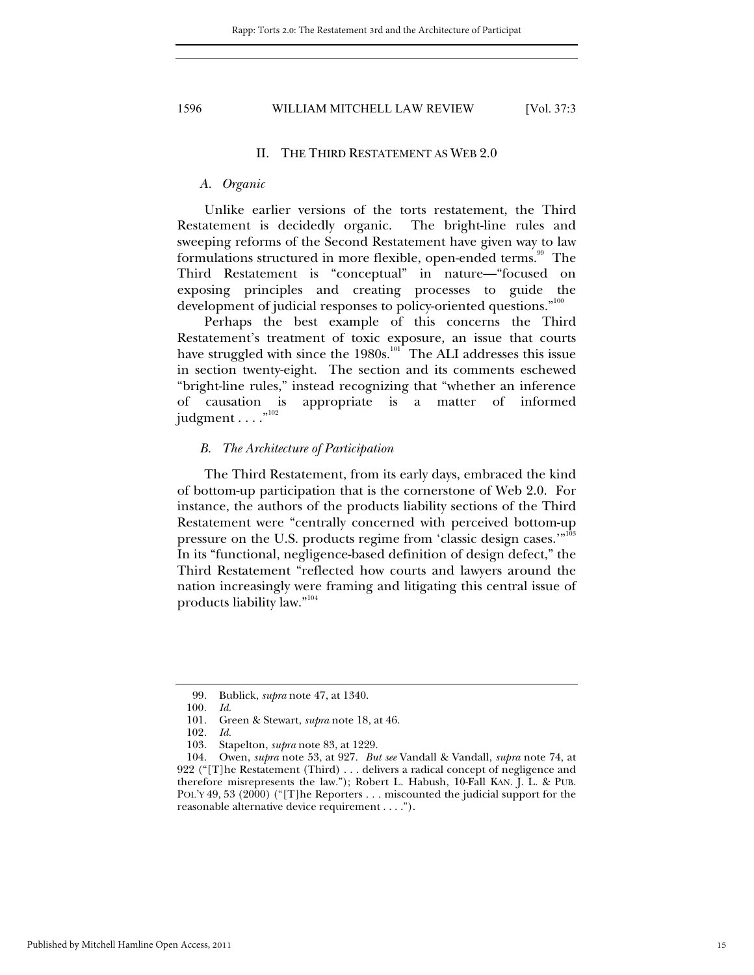# II. THE THIRD RESTATEMENT AS WEB 2.0

# *A. Organic*

Unlike earlier versions of the torts restatement, the Third Restatement is decidedly organic. The bright-line rules and sweeping reforms of the Second Restatement have given way to law formulations structured in more flexible, open-ended terms.<sup>99</sup> The Third Restatement is "conceptual" in nature—"focused on exposing principles and creating processes to guide the development of judicial responses to policy-oriented questions."<sup>100</sup>

Perhaps the best example of this concerns the Third Restatement's treatment of toxic exposure, an issue that courts have struggled with since the  $1980s$ .<sup>101</sup> The ALI addresses this issue in section twenty-eight. The section and its comments eschewed "bright-line rules," instead recognizing that "whether an inference of causation is appropriate is a matter of informed judgment  $\dots$ ."<sup>102</sup>

### *B. The Architecture of Participation*

The Third Restatement, from its early days, embraced the kind of bottom-up participation that is the cornerstone of Web 2.0. For instance, the authors of the products liability sections of the Third Restatement were "centrally concerned with perceived bottom-up pressure on the U.S. products regime from 'classic design cases.'"<sup>103</sup> In its "functional, negligence-based definition of design defect," the Third Restatement "reflected how courts and lawyers around the nation increasingly were framing and litigating this central issue of products liability law."<sup>104</sup>

 <sup>99.</sup> Bublick, *supra* note 47, at 1340.

<sup>100</sup>*. Id.*

 <sup>101.</sup> Green & Stewart, *supra* note 18, at 46.

<sup>102</sup>*. Id.*

 <sup>103.</sup> Stapelton, *supra* note 83, at 1229.

 <sup>104.</sup> Owen, *supra* note 53, at 927. *But see* Vandall & Vandall, *supra* note 74, at 922 ("[T]he Restatement (Third) . . . delivers a radical concept of negligence and therefore misrepresents the law."); Robert L. Habush, 10-Fall KAN. J. L. & PUB. POL'Y 49, 53 (2000) ("[T]he Reporters . . . miscounted the judicial support for the reasonable alternative device requirement . . . .").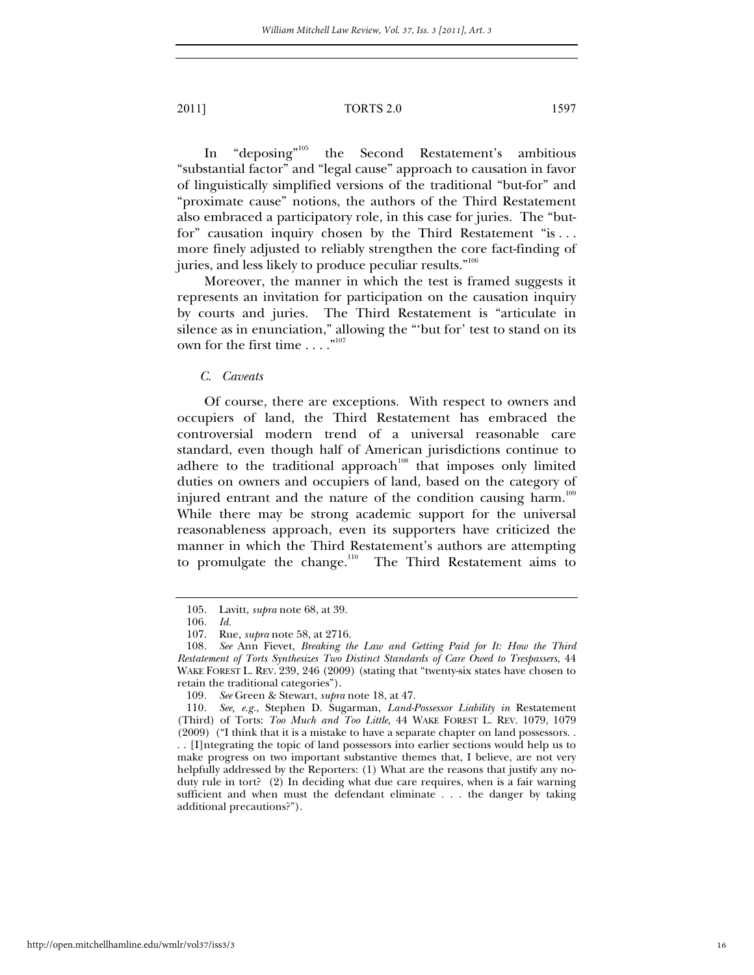In "deposing"105 the Second Restatement's ambitious "substantial factor" and "legal cause" approach to causation in favor of linguistically simplified versions of the traditional "but-for" and "proximate cause" notions, the authors of the Third Restatement also embraced a participatory role, in this case for juries. The "butfor" causation inquiry chosen by the Third Restatement "is . . . more finely adjusted to reliably strengthen the core fact-finding of juries, and less likely to produce peculiar results."106

Moreover, the manner in which the test is framed suggests it represents an invitation for participation on the causation inquiry by courts and juries. The Third Restatement is "articulate in silence as in enunciation," allowing the "'but for' test to stand on its own for the first time  $\dots$ ."<sup>107</sup>

*C. Caveats* 

Of course, there are exceptions. With respect to owners and occupiers of land, the Third Restatement has embraced the controversial modern trend of a universal reasonable care standard, even though half of American jurisdictions continue to adhere to the traditional approach<sup>108</sup> that imposes only limited duties on owners and occupiers of land, based on the category of injured entrant and the nature of the condition causing harm.<sup>109</sup> While there may be strong academic support for the universal reasonableness approach, even its supporters have criticized the manner in which the Third Restatement's authors are attempting to promulgate the change.<sup>110</sup> The Third Restatement aims to

 <sup>105.</sup> Lavitt, *supra* note 68, at 39.

<sup>106</sup>*. Id.*

 <sup>107.</sup> Rue, *supra* note 58, at 2716.

<sup>108</sup>*. See* Ann Fievet, *Breaking the Law and Getting Paid for It: How the Third Restatement of Torts Synthesizes Two Distinct Standards of Care Owed to Trespassers*, 44 WAKE FOREST L. REV. 239, 246 (2009) (stating that "twenty-six states have chosen to retain the traditional categories").

<sup>109</sup>*. See* Green & Stewart, *supra* note 18, at 47.

<sup>110</sup>*. See, e.g.*, Stephen D. Sugarman, *Land-Possessor Liability in* Restatement (Third) of Torts: *Too Much and Too Little*, 44 WAKE FOREST L. REV. 1079, 1079 (2009) ("I think that it is a mistake to have a separate chapter on land possessors. . . . [I]ntegrating the topic of land possessors into earlier sections would help us to make progress on two important substantive themes that, I believe, are not very helpfully addressed by the Reporters: (1) What are the reasons that justify any noduty rule in tort? (2) In deciding what due care requires, when is a fair warning sufficient and when must the defendant eliminate . . . the danger by taking additional precautions?").